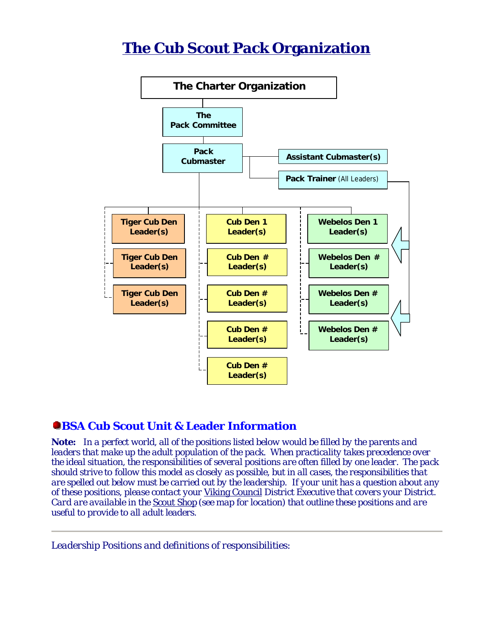# **The Cub Scout Pack Organization**



# **CBSA Cub Scout Unit & Leader Information**

*Note: In a perfect world, all of the positions listed below would be filled by the parents and leaders that make up the adult population of the pack. When practicality takes precedence over the ideal situation, the responsibilities of several positions are often filled by one leader. The pack should strive to follow this model as closely as possible, but in all cases, the responsibilities that are spelled out below must be carried out by the leadership. If your unit has a question about any of these positions, please contact your Viking Council District Executive that covers your District. Card are available in the Scout Shop (see map for location) that outline these positions and are useful to provide to all adult leaders.*

*Leadership Positions and definitions of responsibilities:*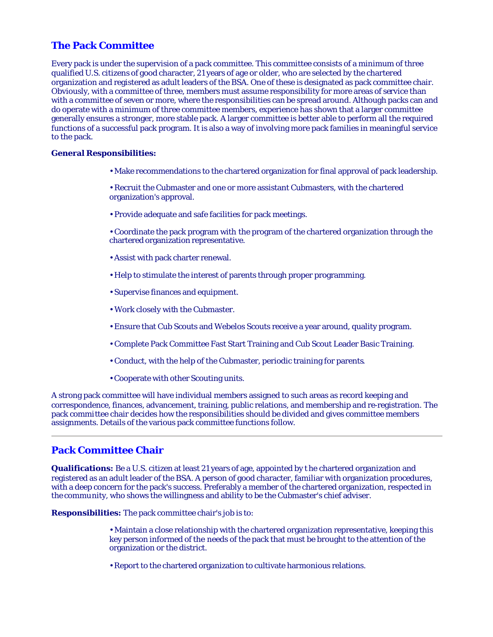# **The Pack Committee**

Every pack is under the supervision of a pack committee. This committee consists of a minimum of three qualified U.S. citizens of good character, 21 years of age or older, who are selected by the chartered organization and registered as adult leaders of the BSA. One of these is designated as pack committee chair. Obviously, with a committee of three, members must assume responsibility for more areas of service than with a committee of seven or more, where the responsibilities can be spread around. Although packs can and do operate with a minimum of three committee members, experience has shown that a larger committee generally ensures a stronger, more stable pack. A larger committee is better able to perform all the required functions of a successful pack program. It is also a way of involving more pack families in meaningful service to the pack.

#### **General Responsibilities:**

- Make recommendations to the chartered organization for final approval of pack leadership.
- Recruit the Cubmaster and one or more assistant Cubmasters, with the chartered organization's approval.
- Provide adequate and safe facilities for pack meetings.
- Coordinate the pack program with the program of the chartered organization through the chartered organization representative.
- Assist with pack charter renewal.
- Help to stimulate the interest of parents through proper programming.
- Supervise finances and equipment.
- Work closely with the Cubmaster.
- Ensure that Cub Scouts and Webelos Scouts receive a year around, quality program.
- Complete Pack Committee Fast Start Training and Cub Scout Leader Basic Training.
- Conduct, with the help of the Cubmaster, periodic training for parents.
- Cooperate with other Scouting units.

A strong pack committee will have individual members assigned to such areas as record keeping and correspondence, finances, advancement, training, public relations, and membership and re-registration. The pack committee chair decides how the responsibilities should be divided and gives committee members assignments. Details of the various pack committee functions follow.

# **Pack Committee Chair**

**Qualifications:** Be a U.S. citizen at least 21 years of age, appointed by t he chartered organization and registered as an adult leader of the BSA. A person of good character, familiar with organization procedures, with a deep concern for the pack's success. Preferably a member of the chartered organization, respected in the community, who shows the willingness and ability to be the Cubmaster's chief adviser.

**Responsibilities:** The pack committee chair's job is to:

- Maintain a close relationship with the chartered organization representative, keeping this key person informed of the needs of the pack that must be brought to the attention of the organization or the district.
- Report to the chartered organization to cultivate harmonious relations.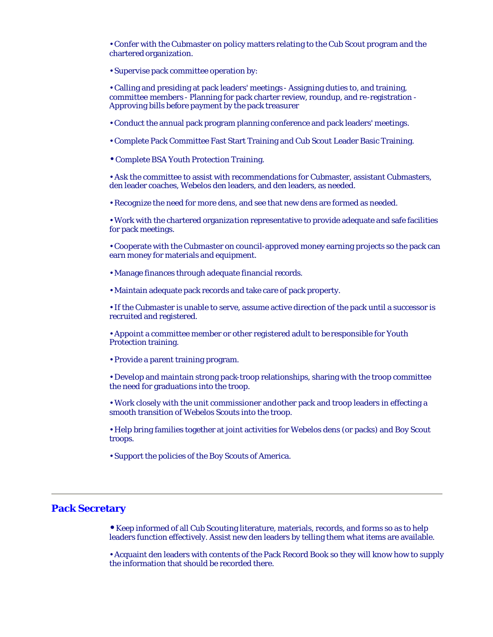• Confer with the Cubmaster on policy matters relating to the Cub Scout program and the chartered organization.

• Supervise pack committee operation by:

• Calling and presiding at pack leaders' meetings - Assigning duties to, and training, committee members - Planning for pack charter review, roundup, and re-registration - Approving bills before payment by the pack treasurer

• Conduct the annual pack program planning conference and pack leaders' meetings.

• Complete Pack Committee Fast Start Training and Cub Scout Leader Basic Training.

• Complete BSA Youth Protection Training.

• Ask the committee to assist with recommendations for Cubmaster, assistant Cubmasters, den leader coaches, Webelos den leaders, and den leaders, as needed.

• Recognize the need for more dens, and see that new dens are formed as needed.

• Work with the chartered organization representative to provide adequate and safe facilities for pack meetings.

• Cooperate with the Cubmaster on council-approved money earning projects so the pack can earn money for materials and equipment.

• Manage finances through adequate financial records.

• Maintain adequate pack records and take care of pack property.

• If the Cubmaster is unable to serve, assume active direction of the pack until a successor is recruited and registered.

• Appoint a committee member or other registered adult to be responsible for Youth Protection training.

• Provide a parent training program.

• Develop and maintain strong pack-troop relationships, sharing with the troop committee the need for graduations into the troop.

• Work closely with the unit commissioner and other pack and troop leaders in effecting a smooth transition of Webelos Scouts into the troop.

• Help bring families together at joint activities for Webelos dens (or packs) and Boy Scout troops.

• Support the policies of the Boy Scouts of America.

# **Pack Secretary**

**•** Keep informed of all Cub Scouting literature, materials, records, and forms so as to help leaders function effectively. Assist new den leaders by telling them what items are available.

• Acquaint den leaders with contents of the Pack Record Book so they will know how to supply the information that should be recorded there.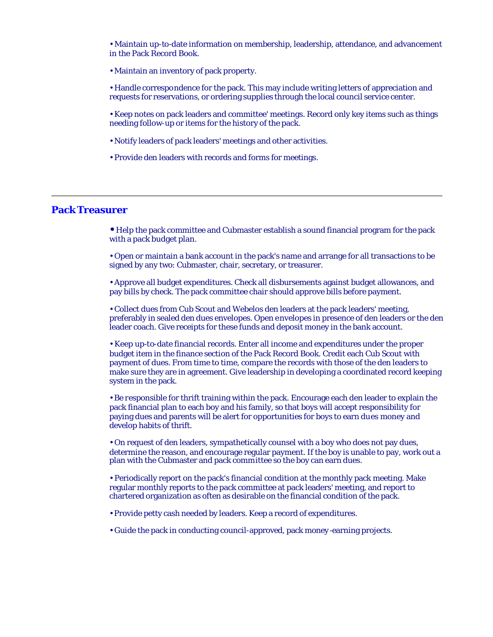• Maintain up-to-date information on membership, leadership, attendance, and advancement in the Pack Record Book.

- Maintain an inventory of pack property.
- Handle correspondence for the pack. This may include writing letters of appreciation and requests for reservations, or ordering supplies through the local council service center.
- Keep notes on pack leaders and committee' meetings. Record only key items such as things needing follow-up or items for the history of the pack.
- Notify leaders of pack leaders' meetings and other activities.
- Provide den leaders with records and forms for meetings.

# **Pack Treasurer**

**•** Help the pack committee and Cubmaster establish a sound financial program for the pack with a pack budget plan.

• Open or maintain a bank account in the pack's name and arrange for all transactions to be signed by any two: Cubmaster, chair, secretary, or treasurer.

• Approve all budget expenditures. Check all disbursements against budget allowances, and pay bills by check. The pack committee chair should approve bills before payment.

• Collect dues from Cub Scout and Webelos den leaders at the pack leaders' meeting, preferably in sealed den dues envelopes. Open envelopes in presence of den leaders or the den leader coach. Give receipts for these funds and deposit money in the bank account.

• Keep up-to-date financial records. Enter all income and expenditures under the proper budget item in the finance section of the Pack Record Book. Credit each Cub Scout with payment of dues. From time to time, compare the records with those of the den leaders to make sure they are in agreement. Give leadership in developing a coordinated record keeping system in the pack.

• Be responsible for thrift training within the pack. Encourage each den leader to explain the pack financial plan to each boy and his family, so that boys will accept responsibility for paying dues and parents will be alert for opportunities for boys to earn dues money and develop habits of thrift.

• On request of den leaders, sympathetically counsel with a boy who does not pay dues, determine the reason, and encourage regular payment. If the boy is unable to pay, work out a plan with the Cubmaster and pack committee so the boy can earn dues.

• Periodically report on the pack's financial condition at the monthly pack meeting. Make regular monthly reports to the pack committee at pack leaders' meeting, and report to chartered organization as often as desirable on the financial condition of the pack.

• Provide petty cash needed by leaders. Keep a record of expenditures.

• Guide the pack in conducting council-approved, pack money -earning projects.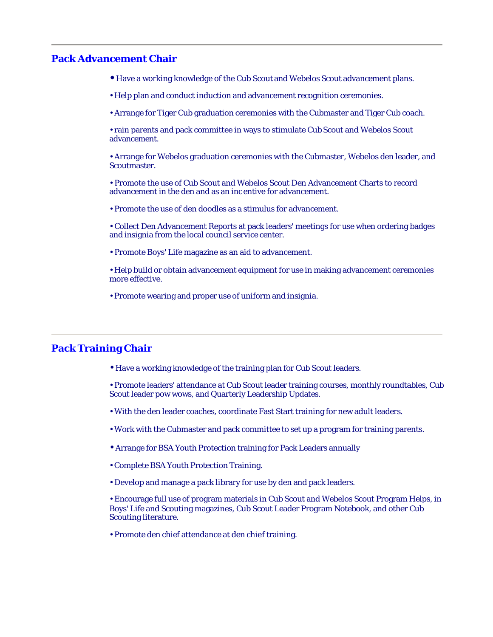# **Pack Advancement Chair**

- Have a working knowledge of the Cub Scout and Webelos Scout advancement plans.
- Help plan and conduct induction and advancement recognition ceremonies.
- Arrange for Tiger Cub graduation ceremonies with the Cubmaster and Tiger Cub coach.

• rain parents and pack committee in ways to stimulate Cub Scout and Webelos Scout advancement.

• Arrange for Webelos graduation ceremonies with the Cubmaster, Webelos den leader, and Scoutmaster.

• Promote the use of Cub Scout and Webelos Scout Den Advancement Charts to record advancement in the den and as an inc entive for advancement.

• Promote the use of den doodles as a stimulus for advancement.

• Collect Den Advancement Reports at pack leaders' meetings for use when ordering badges and insignia from the local council service center.

• Promote Boys' Life magazine as an aid to advancement.

• Help build or obtain advancement equipment for use in making advancement ceremonies more effective.

• Promote wearing and proper use of uniform and insignia.

# **Pack Training Chair**

• Have a working knowledge of the training plan for Cub Scout leaders.

• Promote leaders' attendance at Cub Scout leader training courses, monthly roundtables, Cub Scout leader pow wows, and Quarterly Leadership Updates.

- With the den leader coaches, coordinate Fast Start training for new adult leaders.
- Work with the Cubmaster and pack committee to set up a program for training parents.
- Arrange for BSA Youth Protection training for Pack Leaders annually
- Complete BSA Youth Protection Training.
- Develop and manage a pack library for use by den and pack leaders.

• Encourage full use of program materials in Cub Scout and Webelos Scout Program Helps, in Boys' Life and Scouting magazines, Cub Scout Leader Program Notebook, and other Cub Scouting literature.

• Promote den chief attendance at den chief training.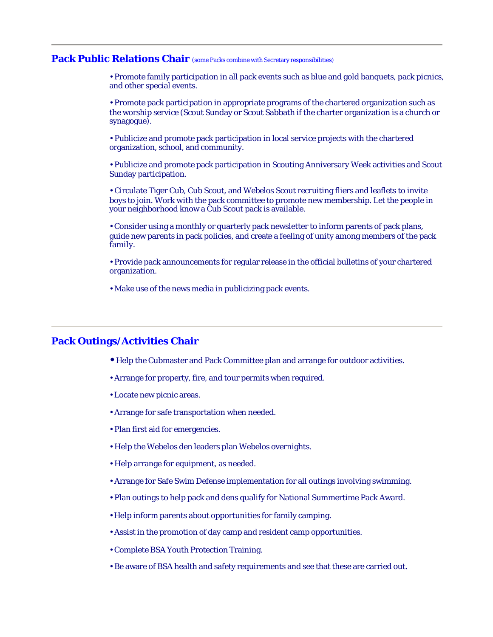# Pack Public Relations Chair (some Packs combine with Secretary responsibilities)

• Promote family participation in all pack events such as blue and gold banquets, pack picnics, and other special events.

• Promote pack participation in appropriate programs of the chartered organization such as the worship service (Scout Sunday or Scout Sabbath if the charter organization is a church or synagogue).

• Publicize and promote pack participation in local service projects with the chartered organization, school, and community.

• Publicize and promote pack participation in Scouting Anniversary Week activities and Scout Sunday participation.

• Circulate Tiger Cub, Cub Scout, and Webelos Scout recruiting fliers and leaflets to invite boys to join. Work with the pack committee to promote new membership. Let the people in your neighborhood know a Cub Scout pack is available.

• Consider using a monthly or quarterly pack newsletter to inform parents of pack plans, guide new parents in pack policies, and create a feeling of unity among members of the pack family.

• Provide pack announcements for regular release in the official bulletins of your chartered organization.

• Make use of the news media in publicizing pack events.

# **Pack Outings/Activities Chair**

- Help the Cubmaster and Pack Committee plan and arrange for outdoor activities.
- Arrange for property, fire, and tour permits when required.
- Locate new picnic areas.
- Arrange for safe transportation when needed.
- Plan first aid for emergencies.
- Help the Webelos den leaders plan Webelos overnights.
- Help arrange for equipment, as needed.
- Arrange for Safe Swim Defense implementation for all outings involving swimming.
- Plan outings to help pack and dens qualify for National Summertime Pack Award.
- Help inform parents about opportunities for family camping.
- Assist in the promotion of day camp and resident camp opportunities.
- Complete BSA Youth Protection Training.
- Be aware of BSA health and safety requirements and see that these are carried out.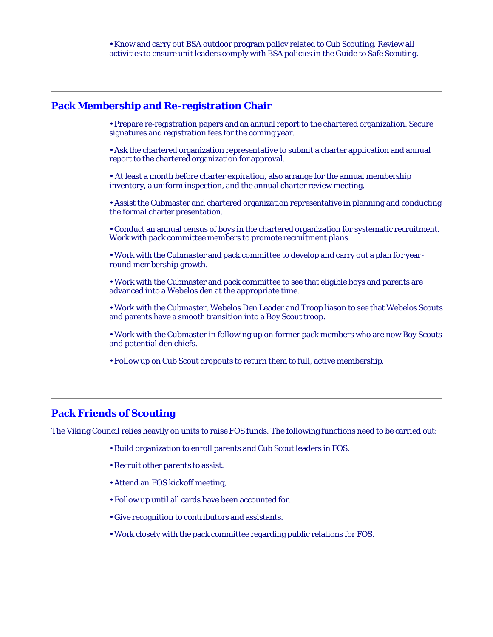# **Pack Membership and Re-registration Chair**

• Prepare re-registration papers and an annual report to the chartered organization. Secure signatures and registration fees for the coming year.

• Ask the chartered organization representative to submit a charter application and annual report to the chartered organization for approval.

• At least a month before charter expiration, also arrange for the annual membership inventory, a uniform inspection, and the annual charter review meeting.

• Assist the Cubmaster and chartered organization representative in planning and conducting the formal charter presentation.

• Conduct an annual census of boys in the chartered organization for systematic recruitment. Work with pack committee members to promote recruitment plans.

• Work with the Cubmaster and pack committee to develop and carry out a plan for yearround membership growth.

• Work with the Cubmaster and pack committee to see that eligible boys and parents are advanced into a Webelos den at the appropriate time.

• Work with the Cubmaster, Webelos Den Leader and Troop liason to see that Webelos Scouts and parents have a smooth transition into a Boy Scout troop.

• Work with the Cubmaster in following up on former pack members who are now Boy Scouts and potential den chiefs.

• Follow up on Cub Scout dropouts to return them to full, active membership.

# **Pack Friends of Scouting**

The Viking Council relies heavily on units to raise FOS funds. The following functions need to be carried out:

- Build organization to enroll parents and Cub Scout leaders in FOS.
- Recruit other parents to assist.
- Attend an FOS kickoff meeting,
- Follow up until all cards have been accounted for.
- Give recognition to contributors and assistants.
- Work closely with the pack committee regarding public relations for FOS.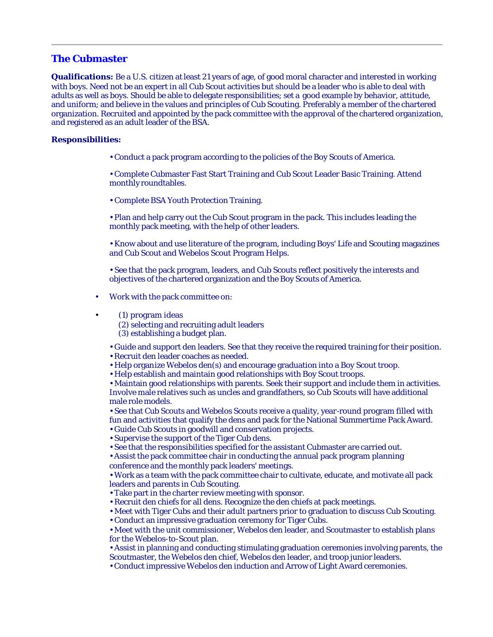# **The Cubmaster**

**Qualifications:** Be a U.S. citizen at least 21 years of age, of good moral character and interested in working with boys. Need not be an expert in all Cub Scout activities but should be a leader who is able to deal with adults as well as boys. Should be able to delegate responsibilities; set a good example by behavior, attitude, and uniform; and believe in the values and principles of Cub Scouting. Preferably a member of the chartered organization. Recruited and appointed by the pack committee with the approval of the chartered organization, and registered as an adult leader of the BSA.

#### **Responsibilities:**

• Conduct a pack program according to the policies of the Boy Scouts of America.

• Complete Cubmaster Fast Start Training and Cub Scout Leader Basic Training. Attend monthly roundtables.

• Complete BSA Youth Protection Training.

• Plan and help carry out the Cub Scout program in the pack. This includes leading the monthly pack meeting, with the help of other leaders.

• Know about and use literature of the program, including Boys' Life and Scouting magazines and Cub Scout and Webelos Scout Program Helps.

• See that the pack program, leaders, and Cub Scouts reflect positively the interests and objectives of the chartered organization and the Boy Scouts of America.

- Work with the pack committee on:
- (1) program ideas

(2) selecting and recruiting adult leaders

(3) establishing a budget plan.

• Guide and support den leaders. See that they receive the required training for their position. • Recruit den leader coaches as needed.

- Help organize Webelos den(s) and encourage graduation into a Boy Scout troop.
- Help establish and maintain good relationships with Boy Scout troops.

• Maintain good relationships with parents. Seek their support and include them in activities. Involve male relatives such as uncles and grandfathers, so Cub Scouts will have additional male role models.

• See that Cub Scouts and Webelos Scouts receive a quality, year-round program filled with fun and activities that qualify the dens and pack for the National Summertime Pack Award.

- Guide Cub Scouts in goodwill and conservation projects.
- Supervise the support of the Tiger Cub dens.
- See that the responsibilities specified for the assistant Cubmaster are carried out.

• Assist the pack committee chair in conducting the annual pack program planning conference and the monthly pack leaders' meetings.

• Work as a team with the pack committee chair to cultivate, educate, and motivate all pack leaders and parents in Cub Scouting.

- Take part in the charter review meeting with sponsor.
- Recruit den chiefs for all dens. Recognize the den chiefs at pack meetings.

• Meet with Tiger Cubs and their adult partners prior to graduation to discuss Cub Scouting.

• Conduct an impressive graduation ceremony for Tiger Cubs.

• Meet with the unit commissioner, Webelos den leader, and Scoutmaster to establish plans for the Webelos-to-Scout plan.

• Assist in planning and conducting stimulating graduation ceremonies involving parents, the Scoutmaster, the Webelos den chief, Webelos den leader, and troop junior leaders.

• Conduct impressive Webelos den induction and Arrow of Light Award ceremonies.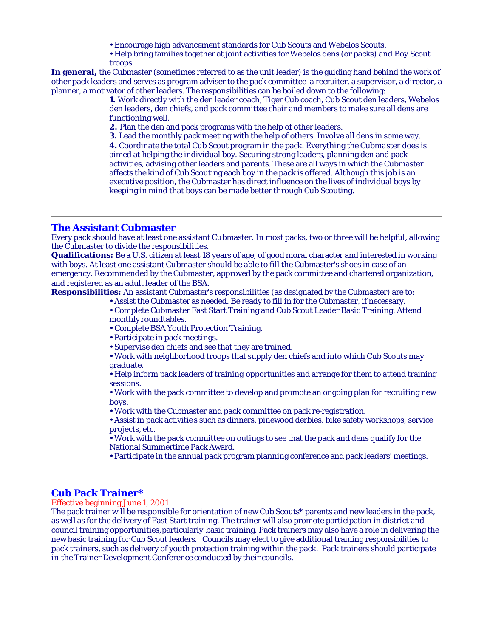- Encourage high advancement standards for Cub Scouts and Webelos Scouts.
- Help bring families together at joint activities for Webelos dens (or packs) and Boy Scout troops.

**In general,** the Cubmaster (sometimes referred to as the unit leader) is the guiding hand behind the work of other pack leaders and serves as program adviser to the pack committee-a recruiter, a supervisor, a director, a planner, a motivator of other leaders. The responsibilities can be boiled down to the following:

**1.** Work directly with the den leader coach, Tiger Cub coach, Cub Scout den leaders, Webelos den leaders, den chiefs, and pack committee chair and members to make sure all dens are functioning well.

**2.** Plan the den and pack programs with the help of other leaders.

**3.** Lead the monthly pack meeting with the help of others. Involve all dens in some way. **4.** Coordinate the total Cub Scout program in the pack. Everything the Cubmaster does is aimed at helping the individual boy. Securing strong leaders, planning den and pack activities, advising other leaders and parents. These are all ways in which the Cubmaster affects the kind of Cub Scouting each boy in the pack is offered. Although this job is an executive position, the Cubmaster has direct influence on the lives of individual boys by keeping in mind that boys can be made better through Cub Scouting.

#### **The Assistant Cubmaster**

Every pack should have at least one assistant Cubmaster. In most packs, two or three will be helpful, allowing the Cubmaster to divide the responsibilities.

**Qualifications:** Be a U.S. citizen at least 18 years of age, of good moral character and interested in working with boys. At least one assistant Cubmaster should be able to fill the Cubmaster's shoes in case of an emergency. Recommended by the Cubmaster, approved by the pack committee and chartered organization, and registered as an adult leader of the BSA.

**Responsibilities:** An assistant Cubmaster's responsibilities (as designated by the Cubmaster) are to:

- Assist the Cubmaster as needed. Be ready to fill in for the Cubmaster, if necessary.
	- Complete Cubmaster Fast Start Training and Cub Scout Leader Basic Training. Attend monthly roundtables.
	- Complete BSA Youth Protection Training.
	- Participate in pack meetings.
	- Supervise den chiefs and see that they are trained.

• Work with neighborhood troops that supply den chiefs and into which Cub Scouts may graduate.

• Help inform pack leaders of training opportunities and arrange for them to attend training sessions.

• Work with the pack committee to develop and promote an ongoing plan for recruiting new boys.

• Work with the Cubmaster and pack committee on pack re-registration.

• Assist in pack activitie s such as dinners, pinewood derbies, bike safety workshops, service projects, etc.

• Work with the pack committee on outings to see that the pack and dens qualify for the National Summertime Pack Award.

• Participate in the annual pack program planning conference and pack leaders' meetings.

# **Cub Pack Trainer\***

Effective beginning June 1, 2001

The pack trainer will be responsible for orientation of new Cub Scouts\* parents and new leaders in the pack, as well as for the delivery of Fast Start training. The trainer will also promote participation in district and council training opportunities, particularly basic training. Pack trainers may also have a role in delivering the new basic training for Cub Scout leaders. Councils may elect to give additional training responsibilities to pack trainers, such as delivery of youth protection training within the pack. Pack trainers should participate in the Trainer Development Conference conducted by their councils.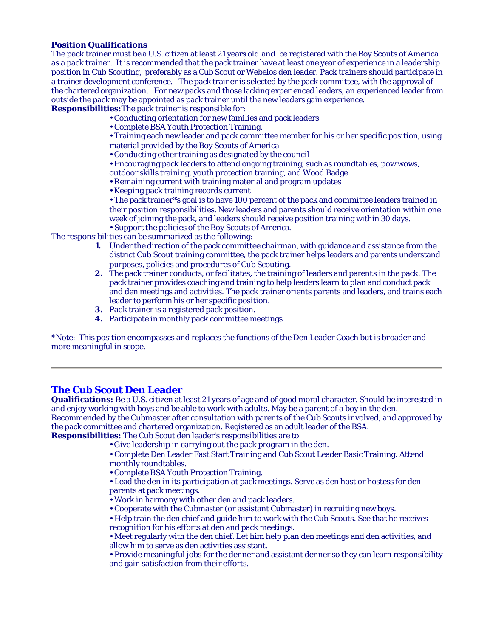#### **Position Qualifications**

The pack trainer must be a U.S. citizen at least 21 years old and be registered with the Boy Scouts of America as a pack trainer. It is recommended that the pack trainer have at least one year of experience in a leadership position in Cub Scouting, preferably as a Cub Scout or Webelos den leader. Pack trainers should participate in a trainer development conference. The pack trainer is selected by the pack committee, with the approval of the chartered organization. For new packs and those lacking experienced leaders, an experienced leader from outside the pack may be appointed as pack trainer until the new leaders gain experience.

**Responsibilities:**The pack trainer is responsible for:

- Conducting orientation for new families and pack leaders
- Complete BSA Youth Protection Training.

• Training each new leader and pack committee member for his or her specific position, using material provided by the Boy Scouts of America

• Conducting other training as designated by the council

• Encouraging pack leaders to attend ongoing training, such as roundtables, pow wows,

outdoor skills training, youth protection training, and Wood Badge

- Remaining current with training material and program updates
- Keeping pack training records current

• The pack trainer\*s goal is to have 100 percent of the pack and committee leaders trained in their position responsibilities. New leaders and parents should receive orientation within one week of joining the pack, and leaders should receive position training within 30 days. • Support the policies of the Boy Scouts of America.

The responsibilities can be summarized as the following:

- **1.** Under the direction of the pack committee chairman, with guidance and assistance from the district Cub Scout training committee, the pack trainer helps leaders and parents understand purposes, policies and procedures of Cub Scouting.
- **2.** The pack trainer conducts, or facilitates, the training of leaders and parents in the pack. The pack trainer provides coaching and training to help leaders learn to plan and conduct pack and den meetings and activities. The pack trainer orients parents and leaders, and trains each leader to perform his or her specific position.
- **3.** Pack trainer is a registered pack position.
- **4.** Participate in monthly pack committee meetings

\*Note: This position encompasses and replaces the functions of the Den Leader Coach but is broader and more meaningful in scope.

# **The Cub Scout Den Leader**

**Qualifications:** Be a U.S. citizen at least 21 years of age and of good moral character. Should be interested in and enjoy working with boys and be able to work with adults. May be a parent of a boy in the den. Recommended by the Cubmaster after consultation with parents of the Cub Scouts involved, and approved by the pack committee and chartered organization. Registered as an adult leader of the BSA. **Responsibilities:** The Cub Scout den leader's responsibilities are to

- Give leadership in carrying out the pack program in the den.
- Complete Den Leader Fast Start Training and Cub Scout Leader Basic Training. Attend monthly roundtables.
- Complete BSA Youth Protection Training.

• Lead the den in its participation at pack meetings. Serve as den host or hostess for den parents at pack meetings.

- Work in harmony with other den and pack leaders.
- Cooperate with the Cubmaster (or assistant Cubmaster) in recruiting new boys.
- Help train the den chief and guide him to work with the Cub Scouts. See that he receives recognition for his efforts at den and pack meetings.

• Meet regularly with the den chief. Let him help plan den meetings and den activities, and allow him to serve as den activities assistant.

• Provide meaningful jobs for the denner and assistant denner so they can learn responsibility and gain satisfaction from their efforts.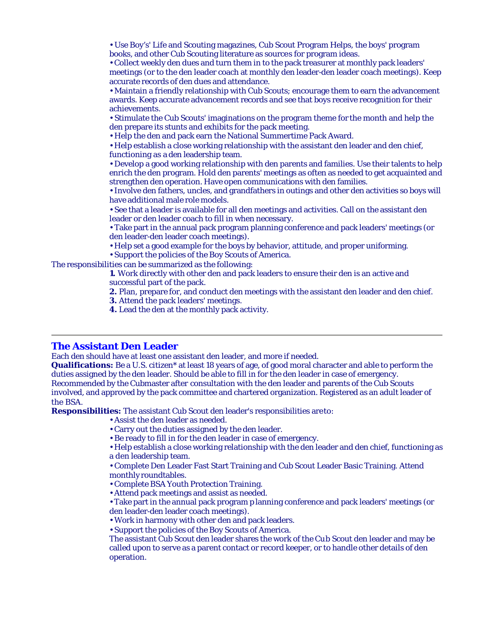• Use Boy's' Life and Scouting magazines, Cub Scout Program Helps, the boys' program books, and other Cub Scouting literature as sources for program ideas.

• Collect weekly den dues and turn them in to the pack treasurer at monthly pack leaders' meetings (or to the den leader coach at monthly den leader-den leader coach meetings). Keep accurate records of den dues and attendance.

• Maintain a friendly relationship with Cub Scouts; encourage them to earn the advancement awards. Keep accurate advancement records and see that boys receive recognition for their achievements.

• Stimulate the Cub Scouts' imaginations on the program theme for the month and help the den prepare its stunts and exhibits for the pack meeting.

• Help the den and pack earn the National Summertime Pack Award.

• Help establish a close working relationship with the assistant den leader and den chief, functioning as a den leadership team.

• Develop a good working relationship with den parents and families. Use their talents to help enrich the den program. Hold den parents' meetings as often as needed to get acquainted and strengthen den operation. Have open communications with den families.

• Involve den fathers, uncles, and grandfathers in outings and other den activities so boys will have additional male role models.

• See that a leader is available for all den meetings and activities. Call on the assistant den leader or den leader coach to fill in when necessary.

• Take part in the annual pack program planning conference and pack leaders' meetings (or den leader-den leader coach meetings).

• Help set a good example for the boys by behavior, attitude, and proper uniforming. • Support the policies of the Boy Scouts of America.

The responsibilities can be summarized as the following:

**1.** Work directly with other den and pack leaders to ensure their den is an active and successful part of the pack.

**2.** Plan, prepare for, and conduct den meetings with the assistant den leader and den chief.

**3.** Attend the pack leaders' meetings.

**4.** Lead the den at the monthly pack activity.

# **The Assistant Den Leader**

Each den should have at least one assistant den leader, and more if needed.

**Qualifications:** Be a U.S. citizen\* at least 18 years of age, of good moral character and able to perform the duties assigned by the den leader. Should be able to fill in for the den leader in case of emergency. Recommended by the Cubmaster after consultation with the den leader and parents of the Cub Scouts involved, and approved by the pack committee and chartered organization. Registered as an adult leader of the BSA.

**Responsibilities:** The assistant Cub Scout den leader's responsibilities are to:

- Assist the den leader as needed.
- Carry out the duties assigned by the den leader.
- Be ready to fill in for the den leader in case of emergency.

• Help establish a close working relationship with the den leader and den chief, functioning as a den leadership team.

• Complete Den Leader Fast Start Training and Cub Scout Leader Basic Training. Attend monthly roundtables.

- Complete BSA Youth Protection Training.
- Attend pack meetings and assist as needed.

• Take part in the annual pack program p lanning conference and pack leaders' meetings (or den leader-den leader coach meetings).

• Work in harmony with other den and pack leaders.

• Support the policies of the Boy Scouts of America.

The assistant Cub Scout den leader shares the work of the Cub Scout den leader and may be called upon to serve as a parent contact or record keeper, or to handle other details of den operation.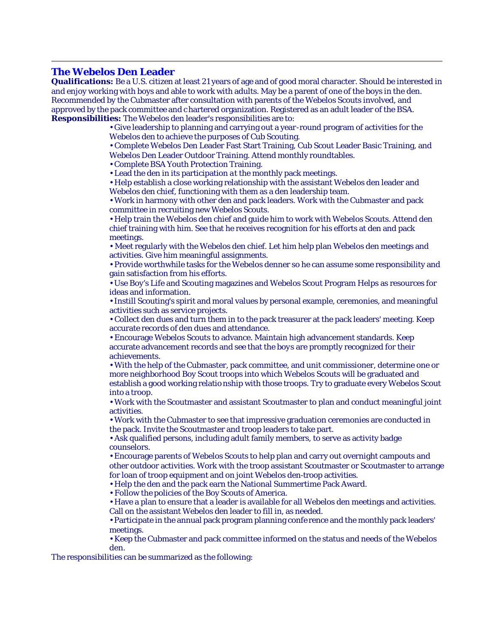## **The Webelos Den Leader**

**Qualifications:** Be a U.S. citizen at least 21 years of age and of good moral character. Should be interested in and enjoy working with boys and able to work with adults. May be a parent of one of the boys in the den. Recommended by the Cubmaster after consultation with parents of the Webelos Scouts involved, and approved by the pack committee and c hartered organization. Registered as an adult leader of the BSA. **Responsibilities:** The Webelos den leader's responsibilities are to:

> • Give leadership to planning and carrying out a year-round program of activities for the Webelos den to achieve the purposes of Cub Scouting.

• Complete Webelos Den Leader Fast Start Training, Cub Scout Leader Basic Training, and Webelos Den Leader Outdoor Training. Attend monthly roundtables.

• Complete BSA Youth Protection Training.

• Lead the den in its participation at the monthly pack meetings.

• Help establish a close working relationship with the assistant Webelos den leader and Webelos den chief, functioning with them as a den leadership team.

• Work in harmony with other den and pack leaders. Work with the Cubmaster and pack committee in recruiting new Webelos Scouts.

• Help train the Webelos den chief and guide him to work with Webelos Scouts. Attend den chief training with him. See that he receives recognition for his efforts at den and pack meetings.

• Meet regularly with the Webelos den chief. Let him help plan Webelos den meetings and activities. Give him meaningful assignments.

• Provide worthwhile tasks for the Webelos denner so he can assume some responsibility and gain satisfaction from his efforts.

• Use Boy's Life and Scouting magazines and Webelos Scout Program Helps as resources for ideas and information.

• Instill Scouting's spirit and moral values by personal example, ceremonies, and meaningful activities such as service projects.

• Collect den dues and turn them in to the pack treasurer at the pack leaders' meeting. Keep accurate records of den dues and attendance.

• Encourage Webelos Scouts to advance. Maintain high advancement standards. Keep accurate advancement records and see that the boys are promptly recognized for their achievements.

• With the help of the Cubmaster, pack committee, and unit commissioner, determine one or more neighborhood Boy Scout troops into which Webelos Scouts will be graduated and establish a good working relatio nship with those troops. Try to graduate every Webelos Scout into a troop.

• Work with the Scoutmaster and assistant Scoutmaster to plan and conduct meaningful joint activities.

• Work with the Cubmaster to see that impressive graduation ceremonies are conducted in the pack. Invite the Scoutmaster and troop leaders to take part.

• Ask qualified persons, including adult family members, to serve as activity badge counselors.

• Encourage parents of Webelos Scouts to help plan and carry out overnight campouts and other outdoor activities. Work with the troop assistant Scoutmaster or Scoutmaster to arrange for loan of troop equipment and on joint Webelos den-troop activities.

• Help the den and the pack earn the National Summertime Pack Award.

• Follow the policies of the Boy Scouts of America.

• Have a plan to ensure that a leader is available for all Webelos den meetings and activities. Call on the assistant Webelos den leader to fill in, as needed.

• Participate in the annual pack program planning confe rence and the monthly pack leaders' meetings.

• Keep the Cubmaster and pack committee informed on the status and needs of the Webelos den.

The responsibilities can be summarized as the following: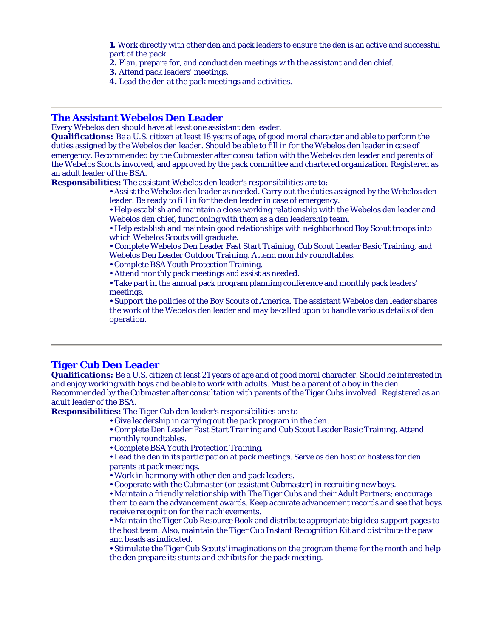**1.** Work directly with other den and pack leaders to ensure the den is an active and successful part of the pack.

- **2.** Plan, prepare for, and conduct den meetings with the assistant and den chief.
- **3.** Attend pack leaders' meetings.
- **4.** Lead the den at the pack meetings and activities.

## **The Assistant Webelos Den Leader**

Every Webelos den should have at least one assistant den leader.

**Qualifications:** Be a U.S. citizen at least 18 years of age, of good moral character and able to perform the duties assigned by the Webelos den leader. Should be able to fill in for the Webelos den leader in case of emergency. Recommended by the Cubmaster after consultation with the Webelos den leader and parents of the Webelos Scouts involved, and approved by the pack committee and chartered organization. Registered as an adult leader of the BSA.

**Responsibilities:** The assistant Webelos den leader's responsibilities are to:

• Assist the Webelos den leader as needed. Carry out the duties assigned by the Webelos den leader. Be ready to fill in for the den leader in case of emergency.

• Help establish and maintain a close working relationship with the Webelos den leader and Webelos den chief, functioning with them as a den leadership team.

• Help establish and maintain good relationships with neighborhood Boy Scout troops into which Webelos Scouts will graduate.

• Complete Webelos Den Leader Fast Start Training, Cub Scout Leader Basic Training, and Webelos Den Leader Outdoor Training. Attend monthly roundtables.

- Complete BSA Youth Protection Training.
- Attend monthly pack meetings and assist as needed.

• Take part in the annual pack program planning conference and monthly pack leaders' meetings.

• Support the policies of the Boy Scouts of America. The assistant Webelos den leader shares the work of the Webelos den leader and may be called upon to handle various details of den operation.

# **Tiger Cub Den Leader**

**Qualifications:** Be a U.S. citizen at least 21 years of age and of good moral character. Should be interested in and enjoy working with boys and be able to work with adults. Must be a parent of a boy in the den. Recommended by the Cubmaster after consultation with parents of the Tiger Cubs involved. Registered as an adult leader of the BSA.

**Responsibilities:** The Tiger Cub den leader's responsibilities are to

- Give leadership in carrying out the pack program in the den.
	- Complete Den Leader Fast Start Training and Cub Scout Leader Basic Training. Attend monthly roundtables.
	- Complete BSA Youth Protection Training.

• Lead the den in its participation at pack meetings. Serve as den host or hostess for den parents at pack meetings.

- Work in harmony with other den and pack leaders.
- Cooperate with the Cubmaster (or assistant Cubmaster) in recruiting new boys.

• Maintain a friendly relationship with The Tiger Cubs and their Adult Partners; encourage them to earn the advancement awards. Keep accurate advancement records and see that boys receive recognition for their achievements.

• Maintain the Tiger Cub Resource Book and distribute appropriate big idea support pages to the host team. Also, maintain the Tiger Cub Instant Recognition Kit and distribute the paw and beads as indicated.

• Stimulate the Tiger Cub Scouts' imaginations on the program theme for the month and help the den prepare its stunts and exhibits for the pack meeting.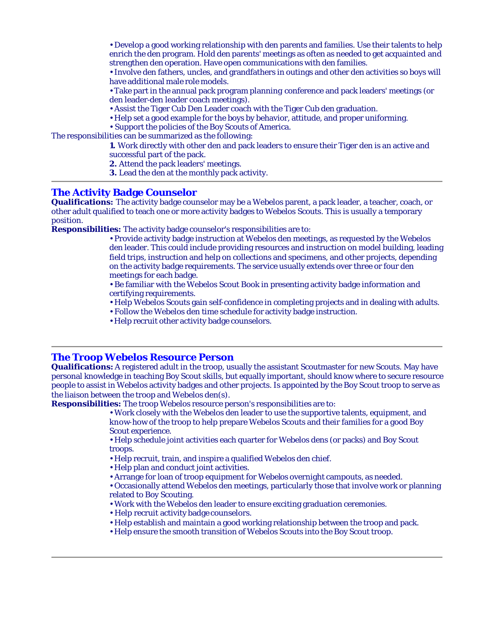• Develop a good working relationship with den parents and families. Use their talents to help enrich the den program. Hold den parents' meetings as often as needed to get acquainted and strengthen den operation. Have open communications with den families.

• Involve den fathers, uncles, and grandfathers in outings and other den activities so boys will have additional male role models.

• Take part in the annual pack program planning conference and pack leaders' meetings (or den leader-den leader coach meetings).

• Assist the Tiger Cub Den Leader coach with the Tiger Cub den graduation.

• Help set a good example for the boys by behavior, attitude, and proper uniforming.

• Support the policies of the Boy Scouts of America.

The responsibilities can be summarized as the following:

**1.** Work directly with other den and pack leaders to ensure their Tiger den is an active and successful part of the pack.

**2.** Attend the pack leaders' meetings.

**3.** Lead the den at the monthly pack activity.

# **The Activity Badge Counselor**

**Qualifications:** The activity badge counselor may be a Webelos parent, a pack leader, a teacher, coach, or other adult qualified to teach one or more activity badges to Webelos Scouts. This is usually a temporary position.

**Responsibilities:** The activity badge counselor's responsibilities are to:

• Provide activity badge instruction at Webelos den meetings, as requested by the Webelos den leader. This could include providing resources and instruction on model building, leading field trips, instruction and help on collections and specimens, and other projects, depending on the activity badge requirements. The service usually extends over three or four den meetings for each badge.

• Be familiar with the Webelos Scout Book in presenting activity badge information and certifying requirements.

- Help Webelos Scouts gain self-confidence in completing projects and in dealing with adults.
- Follow the Webelos den time schedule for activity badge instruction.
- Help recruit other activity badge counselors.

#### **The Troop Webelos Resource Person**

**Qualifications:** A registered adult in the troop, usually the assistant Scoutmaster for new Scouts. May have personal knowledge in teaching Boy Scout skills, but equally important, should know where to secure resource people to assist in Webelos activity badges and other projects. Is appointed by the Boy Scout troop to serve as the liaison between the troop and Webelos den(s).

**Responsibilities:** The troop Webelos resource person's responsibilities are to:

• Work closely with the Webelos den leader to use the supportive talents, equipment, and know-how of the troop to help prepare Webelos Scouts and their families for a good Boy Scout experience.

• Help schedule joint activities each quarter for Webelos dens (or packs) and Boy Scout troops.

• Help recruit, train, and inspire a qualified Webelos den chief.

• Help plan and conduct joint activities.

• Arrange for loan of troop equipment for Webelos overnight campouts, as needed.

• Occasionally attend Webelos den meetings, particularly those that involve work or planning related to Boy Scouting.

- Work with the Webelos den leader to ensure exciting graduation ceremonies.
- Help recruit activity badge counselors.
- Help establish and maintain a good working relationship between the troop and pack.
- Help ensure the smooth transition of Webelos Scouts into the Boy Scout troop.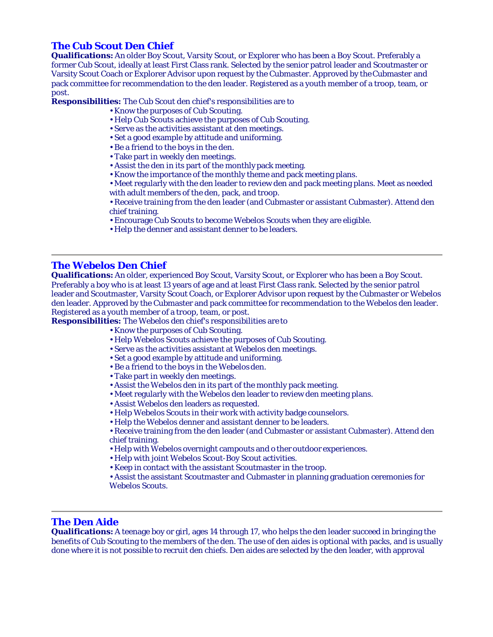# **The Cub Scout Den Chief**

**Qualifications:** An older Boy Scout, Varsity Scout, or Explorer who has been a Boy Scout. Preferably a former Cub Scout, ideally at least First Class rank. Selected by the senior patrol leader and Scoutmaster or Varsity Scout Coach or Explorer Advisor upon request by the Cubmaster. Approved by the Cubmaster and pack committee for recommendation to the den leader. Registered as a youth member of a troop, team, or post.

**Responsibilities:** The Cub Scout den chief's responsibilities are to

- Know the purposes of Cub Scouting.
- Help Cub Scouts achieve the purposes of Cub Scouting.
- Serve as the activities assistant at den meetings.
- Set a good example by attitude and uniforming.
- Be a friend to the boys in the den.
- Take part in weekly den meetings.
- Assist the den in its part of the monthly pack meeting.
- Know the importance of the monthly theme and pack meeting plans.
- Meet regularly with the den leader to review den and pack meeting plans. Meet as needed with adult members of the den, pack, and troop.
- Receive training from the den leader (and Cubmaster or assistant Cubmaster). Attend den chief training.
- Encourage Cub Scouts to become Webelos Scouts when they are eligible.
- Help the denner and assistant denner to be leaders.

# **The Webelos Den Chief**

**Qualifications:** An older, experienced Boy Scout, Varsity Scout, or Explorer who has been a Boy Scout. Preferably a boy who is at least 13 years of age and at least First Class rank. Selected by the senior patrol leader and Scoutmaster, Varsity Scout Coach, or Explorer Advisor upon request by the Cubmaster or Webelos den leader. Approved by the Cubmaster and pack committee for recommendation to the Webelos den leader. Registered as a youth member of a troop, team, or post.

**Responsibilities:** The Webelos den chief's responsibilities are to

- Know the purposes of Cub Scouting.
- Help Webelos Scouts achieve the purposes of Cub Scouting.
- Serve as the activities assistant at Webelos den meetings.
- Set a good example by attitude and uniforming.
- Be a friend to the boys in the Webelos den.
- Take part in weekly den meetings.
- Assist the Webelos den in its part of the monthly pack meeting.
- Meet regularly with the Webelos den leader to review den meeting plans.
- Assist Webelos den leaders as requested.
- Help Webelos Scouts in their work with activity badge counselors.
- Help the Webelos denner and assistant denner to be leaders.
- Receive training from the den leader (and Cubmaster or assistant Cubmaster). Attend den chief training.
- Help with Webelos overnight campouts and o ther outdoor experiences.
- Help with joint Webelos Scout-Boy Scout activities.
- Keep in contact with the assistant Scoutmaster in the troop.

• Assist the assistant Scoutmaster and Cubmaster in planning graduation ceremonies for Webelos Scouts.

# **The Den Aide**

**Qualifications:** A teenage boy or girl, ages 14 through 17, who helps the den leader succeed in bringing the benefits of Cub Scouting to the members of the den. The use of den aides is optional with packs, and is usually done where it is not possible to recruit den chiefs. Den aides are selected by the den leader, with approval